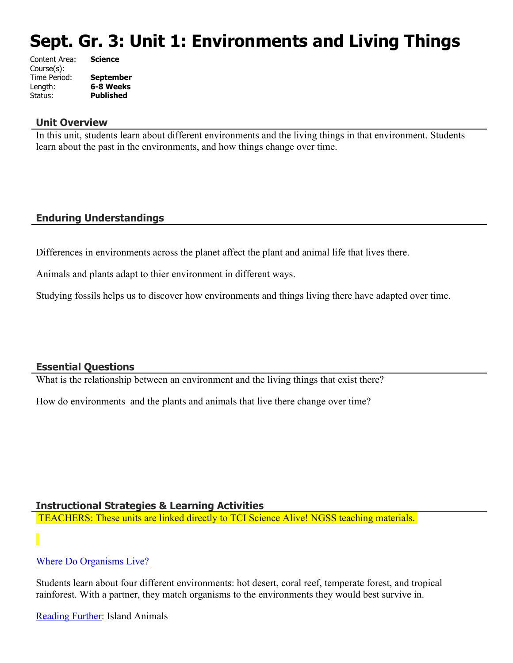# **Sept. Gr. 3: Unit 1: Environments and Living Things**

| Content Area: | <b>Science</b>   |
|---------------|------------------|
| Course(s):    |                  |
| Time Period:  | <b>September</b> |
| Length:       | 6-8 Weeks        |
| Status:       | <b>Published</b> |
|               |                  |

#### **Unit Overview**

In this unit, students learn about different environments and the living things in that environment. Students learn about the past in the environments, and how things change over time.

## **Enduring Understandings**

Differences in environments across the planet affect the plant and animal life that lives there.

Animals and plants adapt to thier environment in different ways.

Studying fossils helps us to discover how environments and things living there have adapted over time.

## **Essential Questions**

What is the relationship between an environment and the living things that exist there?

How do environments and the plants and animals that live there change over time?

## **Instructional Strategies & Learning Activities**

TEACHERS: These units are linked directly to TCI Science Alive! NGSS teaching materials.

## [Where Do Organisms Live?](https://subscriptions.teachtci.com/shared/programs/154/lessons/1428/slide_shows)

Students learn about four different environments: hot desert, coral reef, temperate forest, and tropical rainforest. With a partner, they match organisms to the environments they would best survive in.

[Reading Further](https://subscriptions.teachtci.com/shared/sections/11087?program_id=154&student_view=true): Island Animals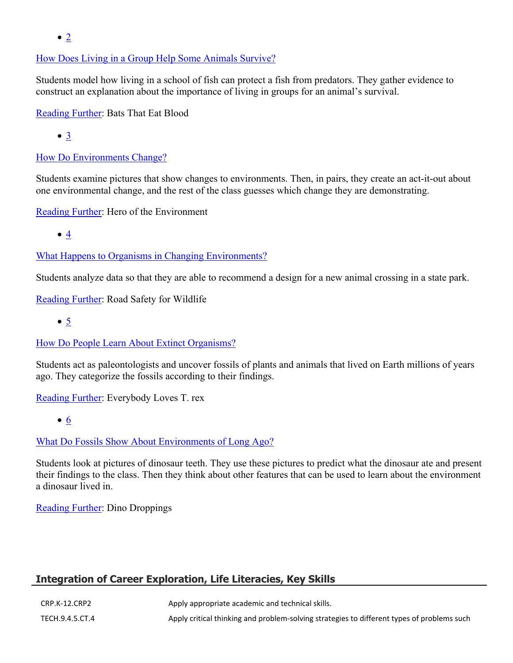$\bullet$  [2](https://subscriptions.teachtci.com/shared/programs/154/lessons/1486/slide_shows)

## [How Does Living in a Group Help Some Animals Survive?](https://subscriptions.teachtci.com/shared/programs/154/lessons/1486/slide_shows)

Students model how living in a school of fish can protect a fish from predators. They gather evidence to construct an explanation about the importance of living in groups for an animal's survival.

[Reading Further](https://subscriptions.teachtci.com/shared/sections/11105?program_id=154&student_view=true): Bats That Eat Blood

 $\bullet$  [3](https://subscriptions.teachtci.com/shared/programs/154/lessons/1484/slide_shows)

## [How Do Environments Change?](https://subscriptions.teachtci.com/shared/programs/154/lessons/1484/slide_shows)

Students examine pictures that show changes to environments. Then, in pairs, they create an act-it-out about one environmental change, and the rest of the class guesses which change they are demonstrating.

[Reading Further](https://subscriptions.teachtci.com/shared/sections/11123?program_id=154&student_view=true): Hero of the Environment

 $• 4$  $• 4$ 

[What Happens to Organisms in Changing Environments?](https://subscriptions.teachtci.com/shared/programs/154/lessons/1485/slide_shows)

Students analyze data so that they are able to recommend a design for a new animal crossing in a state park.

[Reading Further](https://subscriptions.teachtci.com/shared/sections/11196?program_id=154&student_view=true): Road Safety for Wildlife

 $\bullet$  [5](https://subscriptions.teachtci.com/shared/programs/154/lessons/1487/slide_shows)

[How Do People Learn About Extinct Organisms?](https://subscriptions.teachtci.com/shared/programs/154/lessons/1487/slide_shows)

Students act as paleontologists and uncover fossils of plants and animals that lived on Earth millions of years ago. They categorize the fossils according to their findings.

[Reading Further](https://subscriptions.teachtci.com/shared/sections/11220?program_id=154&student_view=true): Everybody Loves T. rex

[What Do Fossils Show About Environments of Long Ago?](https://subscriptions.teachtci.com/shared/programs/154/lessons/1488/slide_shows)

Students look at pictures of dinosaur teeth. They use these pictures to predict what the dinosaur ate and present their findings to the class. Then they think about other features that can be used to learn about the environment a dinosaur lived in.

[Reading Further](https://subscriptions.teachtci.com/shared/sections/11237?program_id=154&student_view=true): Dino Droppings

## **Integration of Career Exploration, Life Literacies, Key Skills**

CRP.K-12.CRP2 Apply appropriate academic and technical skills. TECH.9.4.5.CT.4 Apply critical thinking and problem-solving strategies to different types of problems such

[6](https://subscriptions.teachtci.com/shared/programs/154/lessons/1488/slide_shows)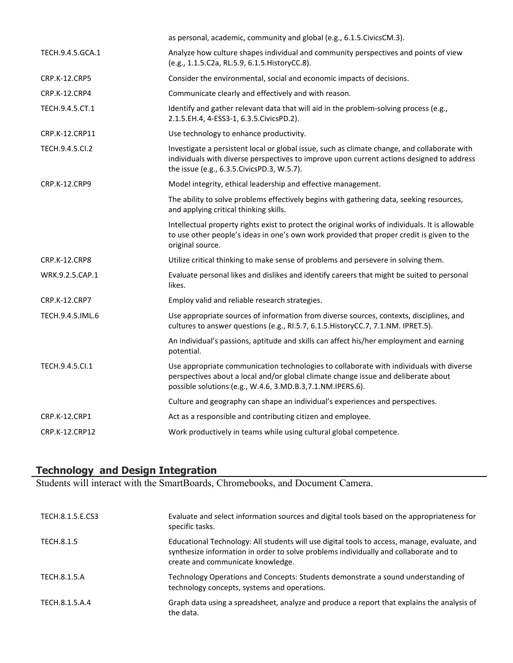|                      | as personal, academic, community and global (e.g., 6.1.5. Civics CM.3).                                                                                                                                                                      |
|----------------------|----------------------------------------------------------------------------------------------------------------------------------------------------------------------------------------------------------------------------------------------|
| TECH.9.4.5.GCA.1     | Analyze how culture shapes individual and community perspectives and points of view<br>(e.g., 1.1.5.C2a, RL.5.9, 6.1.5. HistoryCC.8).                                                                                                        |
| CRP.K-12.CRP5        | Consider the environmental, social and economic impacts of decisions.                                                                                                                                                                        |
| CRP.K-12.CRP4        | Communicate clearly and effectively and with reason.                                                                                                                                                                                         |
| TECH.9.4.5.CT.1      | Identify and gather relevant data that will aid in the problem-solving process (e.g.,<br>2.1.5.EH.4, 4-ESS3-1, 6.3.5.CivicsPD.2).                                                                                                            |
| CRP.K-12.CRP11       | Use technology to enhance productivity.                                                                                                                                                                                                      |
| TECH.9.4.5.Cl.2      | Investigate a persistent local or global issue, such as climate change, and collaborate with<br>individuals with diverse perspectives to improve upon current actions designed to address<br>the issue (e.g., 6.3.5. Civics PD.3, W.5.7).    |
| CRP.K-12.CRP9        | Model integrity, ethical leadership and effective management.                                                                                                                                                                                |
|                      | The ability to solve problems effectively begins with gathering data, seeking resources,<br>and applying critical thinking skills.                                                                                                           |
|                      | Intellectual property rights exist to protect the original works of individuals. It is allowable<br>to use other people's ideas in one's own work provided that proper credit is given to the<br>original source.                            |
| <b>CRP.K-12.CRP8</b> | Utilize critical thinking to make sense of problems and persevere in solving them.                                                                                                                                                           |
| WRK.9.2.5.CAP.1      | Evaluate personal likes and dislikes and identify careers that might be suited to personal<br>likes.                                                                                                                                         |
| CRP.K-12.CRP7        | Employ valid and reliable research strategies.                                                                                                                                                                                               |
| TECH.9.4.5.IML.6     | Use appropriate sources of information from diverse sources, contexts, disciplines, and<br>cultures to answer questions (e.g., RI.5.7, 6.1.5. HistoryCC.7, 7.1.NM. IPRET.5).                                                                 |
|                      | An individual's passions, aptitude and skills can affect his/her employment and earning<br>potential.                                                                                                                                        |
| TECH.9.4.5.Cl.1      | Use appropriate communication technologies to collaborate with individuals with diverse<br>perspectives about a local and/or global climate change issue and deliberate about<br>possible solutions (e.g., W.4.6, 3.MD.B.3, 7.1.NM.IPERS.6). |
|                      | Culture and geography can shape an individual's experiences and perspectives.                                                                                                                                                                |
| CRP.K-12.CRP1        | Act as a responsible and contributing citizen and employee.                                                                                                                                                                                  |
| CRP.K-12.CRP12       | Work productively in teams while using cultural global competence.                                                                                                                                                                           |
|                      |                                                                                                                                                                                                                                              |

## **Technology and Design Integration**

Students will interact with the SmartBoards, Chromebooks, and Document Camera.

| TECH.8.1.5.E.CS3 | Evaluate and select information sources and digital tools based on the appropriateness for<br>specific tasks.                                                                                                              |
|------------------|----------------------------------------------------------------------------------------------------------------------------------------------------------------------------------------------------------------------------|
| TECH.8.1.5       | Educational Technology: All students will use digital tools to access, manage, evaluate, and<br>synthesize information in order to solve problems individually and collaborate and to<br>create and communicate knowledge. |
| TECH.8.1.5.A     | Technology Operations and Concepts: Students demonstrate a sound understanding of<br>technology concepts, systems and operations.                                                                                          |
| TECH.8.1.5.A.4   | Graph data using a spreadsheet, analyze and produce a report that explains the analysis of<br>the data.                                                                                                                    |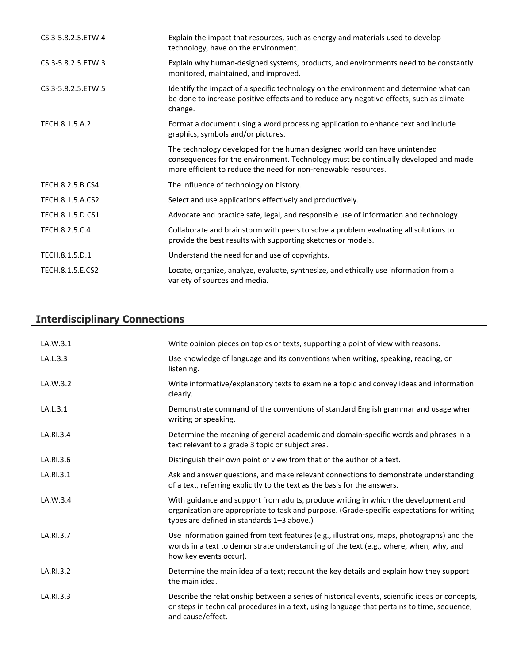| CS.3-5.8.2.5.ETW.4 | Explain the impact that resources, such as energy and materials used to develop<br>technology, have on the environment.                                                                                                            |
|--------------------|------------------------------------------------------------------------------------------------------------------------------------------------------------------------------------------------------------------------------------|
| CS.3-5.8.2.5.ETW.3 | Explain why human-designed systems, products, and environments need to be constantly<br>monitored, maintained, and improved.                                                                                                       |
| CS.3-5.8.2.5.ETW.5 | Identify the impact of a specific technology on the environment and determine what can<br>be done to increase positive effects and to reduce any negative effects, such as climate<br>change.                                      |
| TECH.8.1.5.A.2     | Format a document using a word processing application to enhance text and include<br>graphics, symbols and/or pictures.                                                                                                            |
|                    | The technology developed for the human designed world can have unintended<br>consequences for the environment. Technology must be continually developed and made<br>more efficient to reduce the need for non-renewable resources. |
| TECH.8.2.5.B.CS4   | The influence of technology on history.                                                                                                                                                                                            |
| TECH.8.1.5.A.CS2   | Select and use applications effectively and productively.                                                                                                                                                                          |
| TECH.8.1.5.D.CS1   | Advocate and practice safe, legal, and responsible use of information and technology.                                                                                                                                              |
| TECH.8.2.5.C.4     | Collaborate and brainstorm with peers to solve a problem evaluating all solutions to<br>provide the best results with supporting sketches or models.                                                                               |
| TECH.8.1.5.D.1     | Understand the need for and use of copyrights.                                                                                                                                                                                     |
| TECH.8.1.5.E.CS2   | Locate, organize, analyze, evaluate, synthesize, and ethically use information from a<br>variety of sources and media.                                                                                                             |

## **Interdisciplinary Connections**

| LA.W.3.1  | Write opinion pieces on topics or texts, supporting a point of view with reasons.                                                                                                                                               |
|-----------|---------------------------------------------------------------------------------------------------------------------------------------------------------------------------------------------------------------------------------|
| LA.L.3.3  | Use knowledge of language and its conventions when writing, speaking, reading, or<br>listening.                                                                                                                                 |
| LA.W.3.2  | Write informative/explanatory texts to examine a topic and convey ideas and information<br>clearly.                                                                                                                             |
| LA.L.3.1  | Demonstrate command of the conventions of standard English grammar and usage when<br>writing or speaking.                                                                                                                       |
| LA.RI.3.4 | Determine the meaning of general academic and domain-specific words and phrases in a<br>text relevant to a grade 3 topic or subject area.                                                                                       |
| LA.RI.3.6 | Distinguish their own point of view from that of the author of a text.                                                                                                                                                          |
| LA.RI.3.1 | Ask and answer questions, and make relevant connections to demonstrate understanding<br>of a text, referring explicitly to the text as the basis for the answers.                                                               |
| LA.W.3.4  | With guidance and support from adults, produce writing in which the development and<br>organization are appropriate to task and purpose. (Grade-specific expectations for writing<br>types are defined in standards 1-3 above.) |
| LA.RI.3.7 | Use information gained from text features (e.g., illustrations, maps, photographs) and the<br>words in a text to demonstrate understanding of the text (e.g., where, when, why, and<br>how key events occur).                   |
| LA.RI.3.2 | Determine the main idea of a text; recount the key details and explain how they support<br>the main idea.                                                                                                                       |
| LA.RI.3.3 | Describe the relationship between a series of historical events, scientific ideas or concepts,<br>or steps in technical procedures in a text, using language that pertains to time, sequence,<br>and cause/effect.              |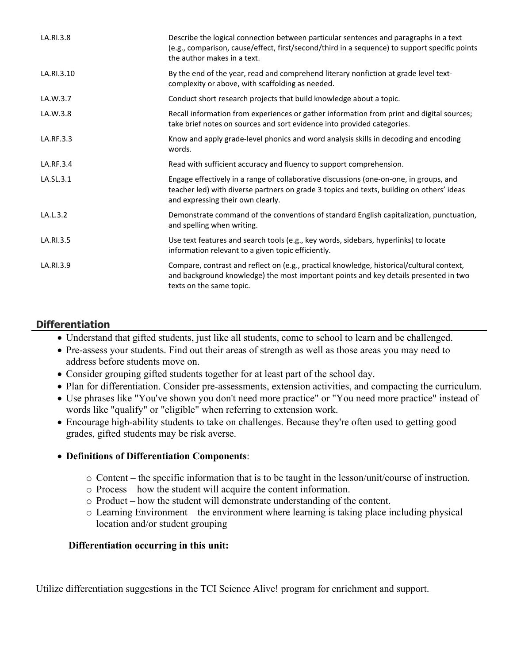| LA.RI.3.8  | Describe the logical connection between particular sentences and paragraphs in a text<br>(e.g., comparison, cause/effect, first/second/third in a sequence) to support specific points<br>the author makes in a text.    |
|------------|--------------------------------------------------------------------------------------------------------------------------------------------------------------------------------------------------------------------------|
| LA.RI.3.10 | By the end of the year, read and comprehend literary nonfiction at grade level text-<br>complexity or above, with scaffolding as needed.                                                                                 |
| LA.W.3.7   | Conduct short research projects that build knowledge about a topic.                                                                                                                                                      |
| LA.W.3.8   | Recall information from experiences or gather information from print and digital sources;<br>take brief notes on sources and sort evidence into provided categories.                                                     |
| LA.RF.3.3  | Know and apply grade-level phonics and word analysis skills in decoding and encoding<br>words.                                                                                                                           |
| LA.RF.3.4  | Read with sufficient accuracy and fluency to support comprehension.                                                                                                                                                      |
| LA.SL.3.1  | Engage effectively in a range of collaborative discussions (one-on-one, in groups, and<br>teacher led) with diverse partners on grade 3 topics and texts, building on others' ideas<br>and expressing their own clearly. |
| LA.L.3.2   | Demonstrate command of the conventions of standard English capitalization, punctuation,<br>and spelling when writing.                                                                                                    |
| LA.RI.3.5  | Use text features and search tools (e.g., key words, sidebars, hyperlinks) to locate<br>information relevant to a given topic efficiently.                                                                               |
| LA.RI.3.9  | Compare, contrast and reflect on (e.g., practical knowledge, historical/cultural context,<br>and background knowledge) the most important points and key details presented in two<br>texts on the same topic.            |

## **Differentiation**

- Understand that gifted students, just like all students, come to school to learn and be challenged.
- Pre-assess your students. Find out their areas of strength as well as those areas you may need to address before students move on.
- Consider grouping gifted students together for at least part of the school day.
- Plan for differentiation. Consider pre-assessments, extension activities, and compacting the curriculum.
- Use phrases like "You've shown you don't need more practice" or "You need more practice" instead of words like "qualify" or "eligible" when referring to extension work.
- Encourage high-ability students to take on challenges. Because they're often used to getting good grades, gifted students may be risk averse.

## **Definitions of Differentiation Components**:

- o Content the specific information that is to be taught in the lesson/unit/course of instruction.
- o Process how the student will acquire the content information.
- o Product how the student will demonstrate understanding of the content.
- o Learning Environment the environment where learning is taking place including physical location and/or student grouping

## **Differentiation occurring in this unit:**

Utilize differentiation suggestions in the TCI Science Alive! program for enrichment and support.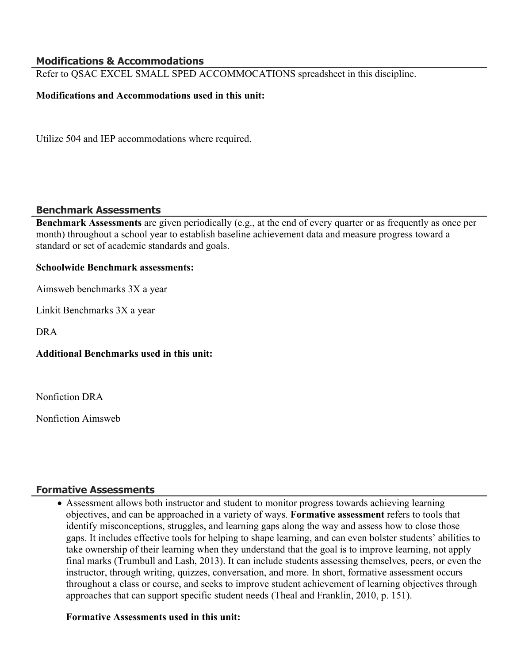## **Modifications & Accommodations**

Refer to QSAC EXCEL SMALL SPED ACCOMMOCATIONS spreadsheet in this discipline.

## **Modifications and Accommodations used in this unit:**

Utilize 504 and IEP accommodations where required.

#### **Benchmark Assessments**

**Benchmark Assessments** are given periodically (e.g., at the end of every quarter or as frequently as once per month) throughout a school year to establish baseline achievement data and measure progress toward a standard or set of academic standards and goals.

#### **Schoolwide Benchmark assessments:**

Aimsweb benchmarks 3X a year

Linkit Benchmarks 3X a year

DRA

**Additional Benchmarks used in this unit:**

Nonfiction DRA

Nonfiction Aimsweb

## **Formative Assessments**

 Assessment allows both instructor and student to monitor progress towards achieving learning objectives, and can be approached in a variety of ways. **Formative assessment** refers to tools that identify misconceptions, struggles, and learning gaps along the way and assess how to close those gaps. It includes effective tools for helping to shape learning, and can even bolster students' abilities to take ownership of their learning when they understand that the goal is to improve learning, not apply final marks (Trumbull and Lash, 2013). It can include students assessing themselves, peers, or even the instructor, through writing, quizzes, conversation, and more. In short, formative assessment occurs throughout a class or course, and seeks to improve student achievement of learning objectives through approaches that can support specific student needs (Theal and Franklin, 2010, p. 151).

## **Formative Assessments used in this unit:**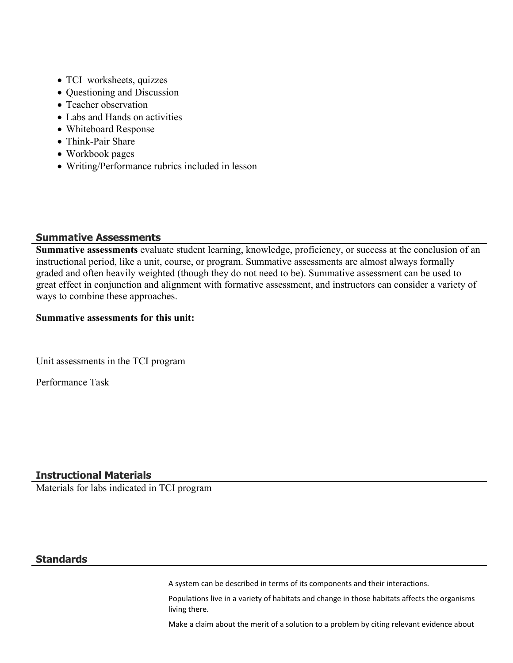- TCI worksheets, quizzes
- Questioning and Discussion
- Teacher observation
- Labs and Hands on activities
- Whiteboard Response
- Think-Pair Share
- Workbook pages
- Writing/Performance rubrics included in lesson

#### **Summative Assessments**

**Summative assessments** evaluate student learning, knowledge, proficiency, or success at the conclusion of an instructional period, like a unit, course, or program. Summative assessments are almost always formally graded and often heavily weighted (though they do not need to be). Summative assessment can be used to great effect in conjunction and alignment with formative assessment, and instructors can consider a variety of ways to combine these approaches.

#### **Summative assessments for this unit:**

Unit assessments in the TCI program

Performance Task

## **Instructional Materials**

Materials for labs indicated in TCI program

## **Standards**

A system can be described in terms of its components and their interactions.

Populations live in a variety of habitats and change in those habitats affects the organisms living there.

Make a claim about the merit of a solution to a problem by citing relevant evidence about